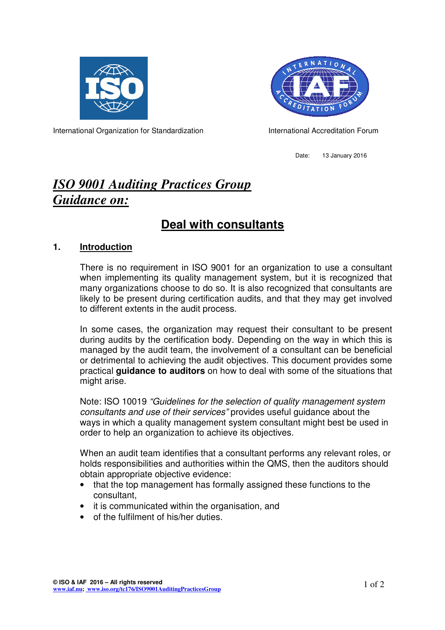



International Organization for Standardization **International Accreditation Forum** 

Date: 13 January 2016

# *ISO 9001 Auditing Practices Group Guidance on:*

## **Deal with consultants**

#### **1. Introduction**

There is no requirement in ISO 9001 for an organization to use a consultant when implementing its quality management system, but it is recognized that many organizations choose to do so. It is also recognized that consultants are likely to be present during certification audits, and that they may get involved to different extents in the audit process.

In some cases, the organization may request their consultant to be present during audits by the certification body. Depending on the way in which this is managed by the audit team, the involvement of a consultant can be beneficial or detrimental to achieving the audit objectives. This document provides some practical **guidance to auditors** on how to deal with some of the situations that might arise.

Note: ISO 10019 "Guidelines for the selection of quality management system consultants and use of their services" provides useful guidance about the ways in which a quality management system consultant might best be used in order to help an organization to achieve its objectives.

When an audit team identifies that a consultant performs any relevant roles, or holds responsibilities and authorities within the QMS, then the auditors should obtain appropriate objective evidence:

- that the top management has formally assigned these functions to the consultant,
- it is communicated within the organisation, and
- of the fulfilment of his/her duties.